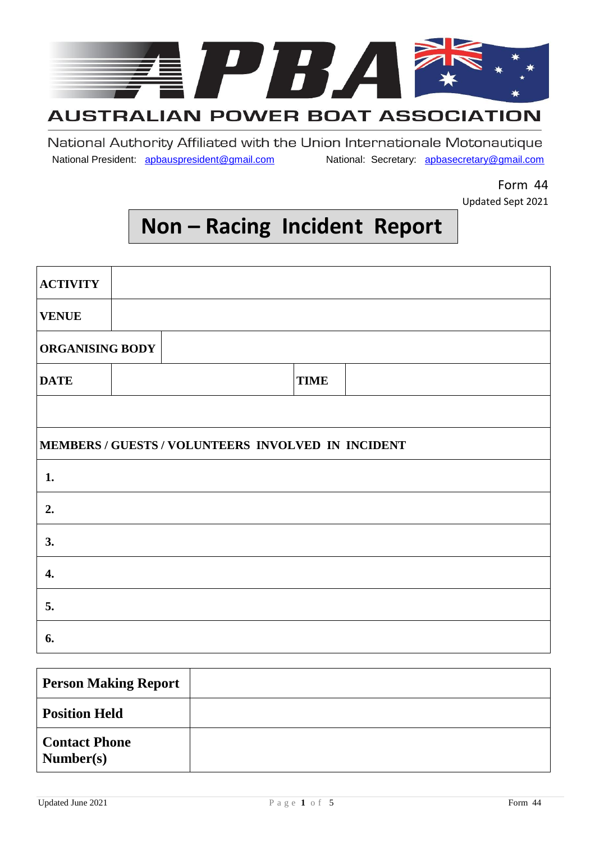

## **AUSTRALIAN POWER BOAT ASSOCIATION**

National Authority Affiliated with the Union Internationale Motonautique National President: apbauspresident@gmail.com National: Secretary: apbasecretary@gmail.com

> Form 44 Updated Sept 2021

## **Non – Racing Incident Report**

| <b>ACTIVITY</b>        |                                                    |             |
|------------------------|----------------------------------------------------|-------------|
| <b>VENUE</b>           |                                                    |             |
| <b>ORGANISING BODY</b> |                                                    |             |
| <b>DATE</b>            |                                                    | <b>TIME</b> |
|                        |                                                    |             |
|                        | MEMBERS / GUESTS / VOLUNTEERS INVOLVED IN INCIDENT |             |
| 1.                     |                                                    |             |
| 2.                     |                                                    |             |
| 3.                     |                                                    |             |
| 4.                     |                                                    |             |
| 5.                     |                                                    |             |
| 6.                     |                                                    |             |

| <b>Person Making Report</b>       |  |
|-----------------------------------|--|
| <b>Position Held</b>              |  |
| <b>Contact Phone</b><br>Number(s) |  |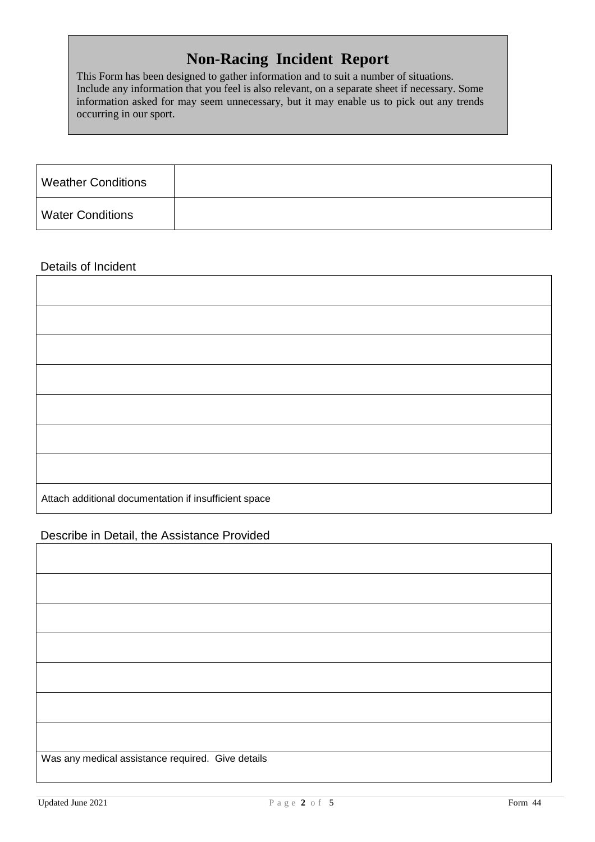### **Non-Racing Incident Report**

This Form has been designed to gather information and to suit a number of situations. Include any information that you feel is also relevant, on a separate sheet if necessary. Some information asked for may seem unnecessary, but it may enable us to pick out any trends occurring in our sport.

| <b>Weather Conditions</b> |  |
|---------------------------|--|
| <b>Water Conditions</b>   |  |

#### Details of Incident

| Attach additional documentation if insufficient space |  |
|-------------------------------------------------------|--|

#### Describe in Detail, the Assistance Provided

| Was any medical assistance required. Give details |
|---------------------------------------------------|
|                                                   |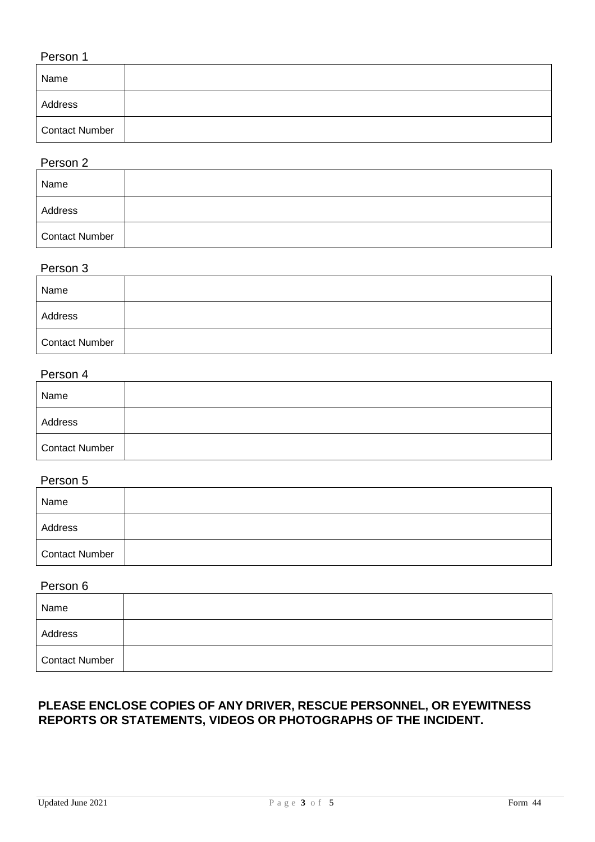#### Person 1

| Name           |  |
|----------------|--|
| Address        |  |
| Contact Number |  |

#### Person 2

| Name           |  |
|----------------|--|
| Address        |  |
| Contact Number |  |

#### Person 3

| Name                  |  |
|-----------------------|--|
| Address               |  |
| <b>Contact Number</b> |  |

#### Person 4

| Name           |  |
|----------------|--|
| Address        |  |
| Contact Number |  |

#### Person 5

| Name                  |  |
|-----------------------|--|
| Address               |  |
| <b>Contact Number</b> |  |

#### Person 6

| Name           |  |
|----------------|--|
| Address        |  |
| Contact Number |  |

#### **PLEASE ENCLOSE COPIES OF ANY DRIVER, RESCUE PERSONNEL, OR EYEWITNESS REPORTS OR STATEMENTS, VIDEOS OR PHOTOGRAPHS OF THE INCIDENT.**